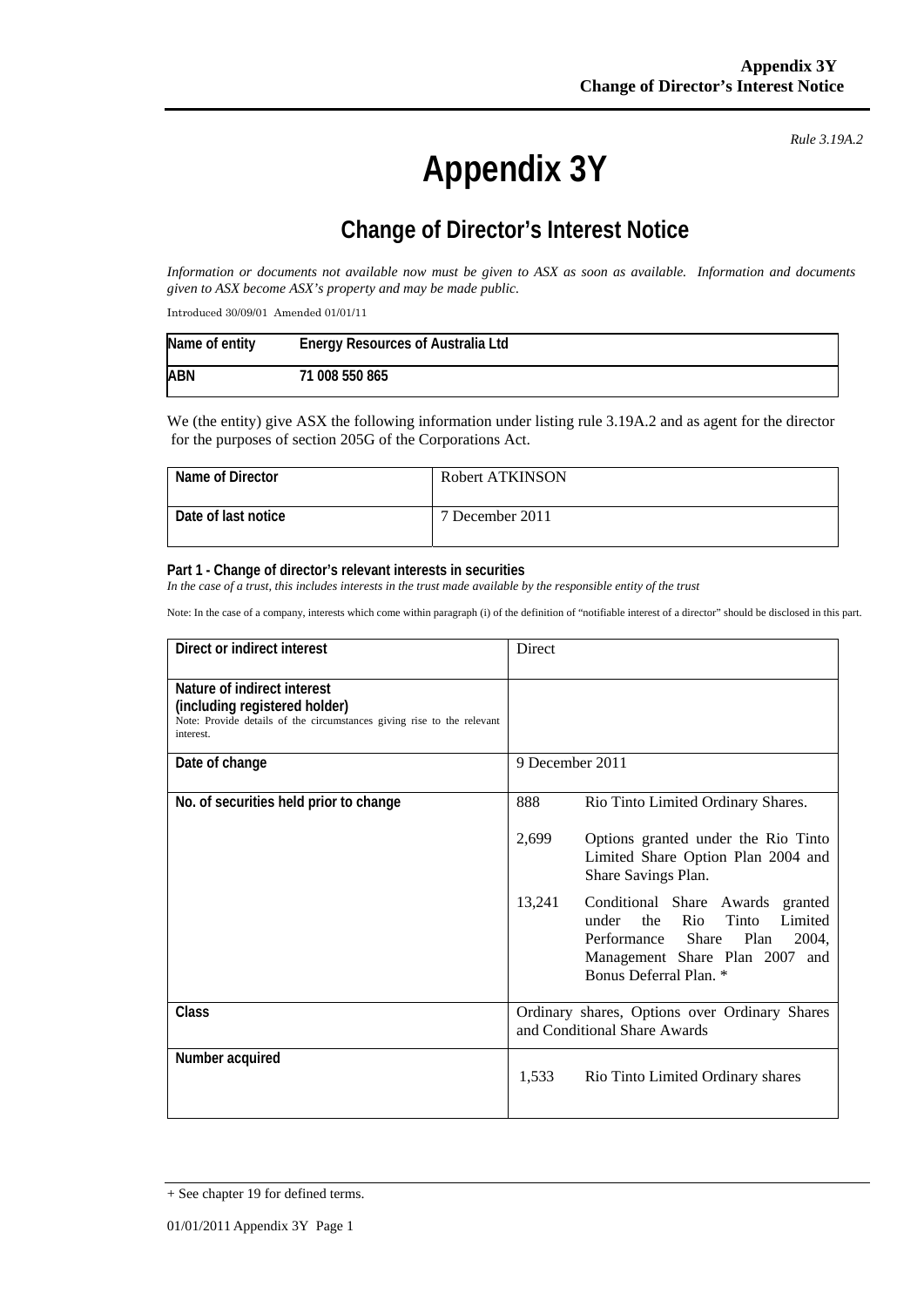# **Appendix 3Y**

*Rule 3.19A.2*

# **Change of Director's Interest Notice**

*Information or documents not available now must be given to ASX as soon as available. Information and documents given to ASX become ASX's property and may be made public.* 

Introduced 30/09/01 Amended 01/01/11

| Name of entity | <b>Energy Resources of Australia Ltd</b> |
|----------------|------------------------------------------|
| ABN            | 71 008 550 865                           |

We (the entity) give ASX the following information under listing rule 3.19A.2 and as agent for the director for the purposes of section 205G of the Corporations Act.

| Name of Director    | Robert ATKINSON |
|---------------------|-----------------|
| Date of last notice | 7 December 2011 |

#### **Part 1 - Change of director's relevant interests in securities**

In the case of a trust, this includes interests in the trust made available by the responsible entity of the trust

Note: In the case of a company, interests which come within paragraph (i) of the definition of "notifiable interest of a director" should be disclosed in this part.

| Direct or indirect interest                                                                                                                         | Direct                                                                                                                                                                                  |  |
|-----------------------------------------------------------------------------------------------------------------------------------------------------|-----------------------------------------------------------------------------------------------------------------------------------------------------------------------------------------|--|
| Nature of indirect interest<br>(including registered holder)<br>Note: Provide details of the circumstances giving rise to the relevant<br>interest. |                                                                                                                                                                                         |  |
| Date of change                                                                                                                                      | 9 December 2011                                                                                                                                                                         |  |
| No. of securities held prior to change                                                                                                              | 888<br>Rio Tinto Limited Ordinary Shares.                                                                                                                                               |  |
|                                                                                                                                                     | 2,699<br>Options granted under the Rio Tinto<br>Limited Share Option Plan 2004 and<br>Share Savings Plan.                                                                               |  |
|                                                                                                                                                     | 13,241<br>Conditional Share Awards granted<br>Tinto<br>Limited<br>under<br>the<br>Rio<br>Performance Share<br>Plan<br>2004,<br>Management Share Plan 2007 and<br>Bonus Deferral Plan. * |  |
| Class                                                                                                                                               | Ordinary shares, Options over Ordinary Shares<br>and Conditional Share Awards                                                                                                           |  |
| Number acquired                                                                                                                                     | 1,533<br>Rio Tinto Limited Ordinary shares                                                                                                                                              |  |

<sup>+</sup> See chapter 19 for defined terms.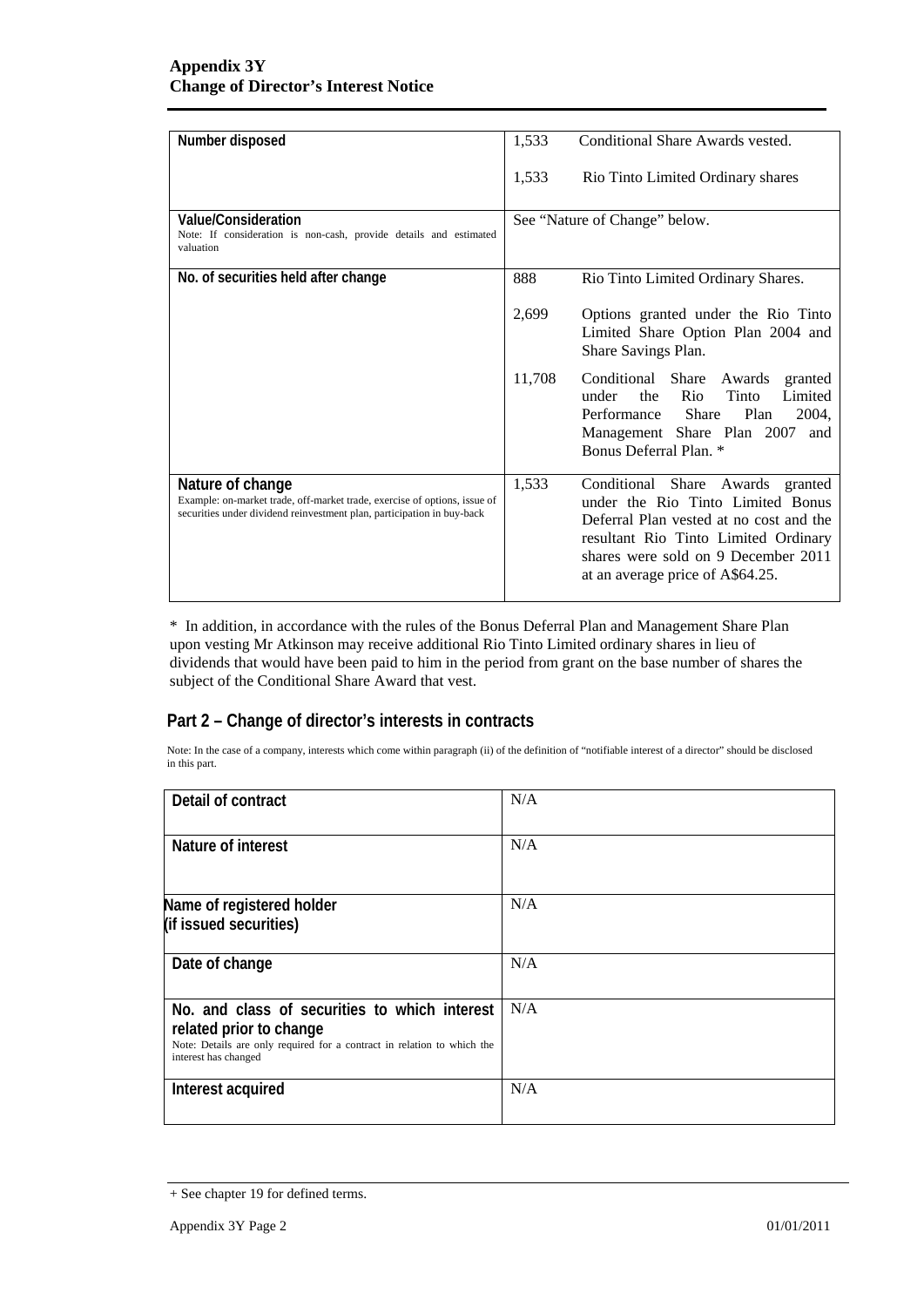| Number disposed                                                                                                                                                         | 1,533<br>Conditional Share Awards vested.                                                                                                                                                                                                    |
|-------------------------------------------------------------------------------------------------------------------------------------------------------------------------|----------------------------------------------------------------------------------------------------------------------------------------------------------------------------------------------------------------------------------------------|
|                                                                                                                                                                         | 1,533<br>Rio Tinto Limited Ordinary shares                                                                                                                                                                                                   |
| <b>Value/Consideration</b><br>Note: If consideration is non-cash, provide details and estimated<br>valuation                                                            | See "Nature of Change" below.                                                                                                                                                                                                                |
| No. of securities held after change                                                                                                                                     | 888<br>Rio Tinto Limited Ordinary Shares.                                                                                                                                                                                                    |
|                                                                                                                                                                         | 2,699<br>Options granted under the Rio Tinto<br>Limited Share Option Plan 2004 and<br>Share Savings Plan.                                                                                                                                    |
|                                                                                                                                                                         | 11,708<br>Conditional Share Awards<br>granted<br>the Rio<br>Tinto<br>Limited<br>under<br>Performance Share<br>Plan<br>2004,<br>Management Share Plan 2007<br>and<br><b>Bonus Deferral Plan.</b> *                                            |
| Nature of change<br>Example: on-market trade, off-market trade, exercise of options, issue of<br>securities under dividend reinvestment plan, participation in buy-back | 1,533<br>Conditional Share Awards granted<br>under the Rio Tinto Limited Bonus<br>Deferral Plan vested at no cost and the<br>resultant Rio Tinto Limited Ordinary<br>shares were sold on 9 December 2011<br>at an average price of A\$64.25. |

\* In addition, in accordance with the rules of the Bonus Deferral Plan and Management Share Plan upon vesting Mr Atkinson may receive additional Rio Tinto Limited ordinary shares in lieu of dividends that would have been paid to him in the period from grant on the base number of shares the subject of the Conditional Share Award that vest.

### **Part 2 – Change of director's interests in contracts**

Note: In the case of a company, interests which come within paragraph (ii) of the definition of "notifiable interest of a director" should be disclosed in this part.

| Detail of contract                                                                                                                                                          | N/A |
|-----------------------------------------------------------------------------------------------------------------------------------------------------------------------------|-----|
| Nature of interest                                                                                                                                                          | N/A |
| Name of registered holder<br>(if issued securities)                                                                                                                         | N/A |
| Date of change                                                                                                                                                              | N/A |
| No. and class of securities to which interest<br>related prior to change<br>Note: Details are only required for a contract in relation to which the<br>interest has changed | N/A |
| Interest acquired                                                                                                                                                           | N/A |

<sup>+</sup> See chapter 19 for defined terms.